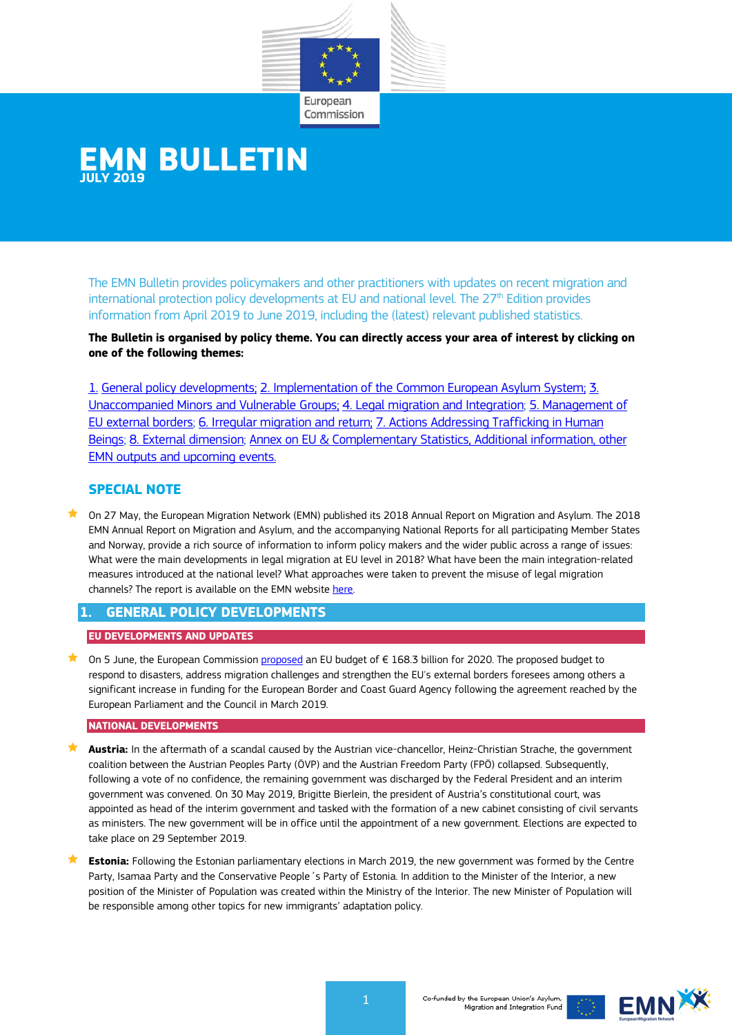

# **EMN BULLETIN JULY 2019**

The EMN Bulletin provides policymakers and other practitioners with updates on recent migration and international protection policy developments at EU and national level. The  $27<sup>th</sup>$  Edition provides information from April 2019 to June 2019, including the (latest) relevant published statistics.

**The Bulletin is organised by policy theme. You can directly access your area of interest by clicking on one of the following themes:** 

1. General policy [developments;](#page-0-0) [2. Implementation of the Common European Asylum System;](#page-1-0) [3.](#page-3-0)  [Unaccompanied Minors and Vulnerable Groups;](#page-3-0) [4. Legal migration and Integration;](#page-4-0) [5. Management of](#page-9-0)  [EU external borders;](#page-9-0) [6. Irregular migration and return;](#page-10-0) [7. Actions Addressing Trafficking in Human](#page-11-0)  [Beings;](#page-11-0) [8. External dimension;](#page-12-0) [Annex on EU & Complementary Statistics, Additional information, other](#page-13-0)  [EMN outputs and upcoming events.](#page-13-0)

# **SPECIAL NOTE**

 On 27 May, the European Migration Network (EMN) published its 2018 Annual Report on Migration and Asylum. The 2018 EMN Annual Report on Migration and Asylum, and the accompanying National Reports for all participating Member States and Norway, provide a rich source of information to inform policy makers and the wider public across a range of issues: What were the main developments in legal migration at EU level in 2018? What have been the main integration-related measures introduced at the national level? What approaches were taken to prevent the misuse of legal migration channels? The report is available on the EMN websit[e here.](https://ec.europa.eu/home-affairs/content/new-trends-legislation-policies-and-practise-across-eu-migration-and-asylum_en)

# <span id="page-0-0"></span>**1. GENERAL POLICY DEVELOPMENTS**

### **EU DEVELOPMENTS AND UPDATES**

 On 5 June, the European Commissio[n proposed](http://europa.eu/rapid/press-release_IP-19-2809_en.htm) an EU budget of € 168.3 billion for 2020. The proposed budget to respond to disasters, address migration challenges and strengthen the EU's external borders foresees among others a significant increase in funding for the European Border and Coast Guard Agency following the agreement reached by the European Parliament and the Council in March 2019.

#### **NATIONAL DEVELOPMENTS**

- **Austria:** In the aftermath of a scandal caused by the Austrian vice-chancellor, Heinz-Christian Strache, the government coalition between the Austrian Peoples Party (ÖVP) and the Austrian Freedom Party (FPÖ) collapsed. Subsequently, following a vote of no confidence, the remaining government was discharged by the Federal President and an interim government was convened. On 30 May 2019, Brigitte Bierlein, the president of Austria's constitutional court, was appointed as head of the interim government and tasked with the formation of a new cabinet consisting of civil servants as ministers. The new government will be in office until the appointment of a new government. Elections are expected to take place on 29 September 2019.
- **Estonia:** Following the Estonian parliamentary elections in March 2019, the new government was formed by the Centre Party, Isamaa Party and the Conservative People´s Party of Estonia. In addition to the Minister of the Interior, a new position of the Minister of Population was created within the Ministry of the Interior. The new Minister of Population will be responsible among other topics for new immigrants' adaptation policy.



Co-funded by the European Union's Asylum Migration and Integration Fund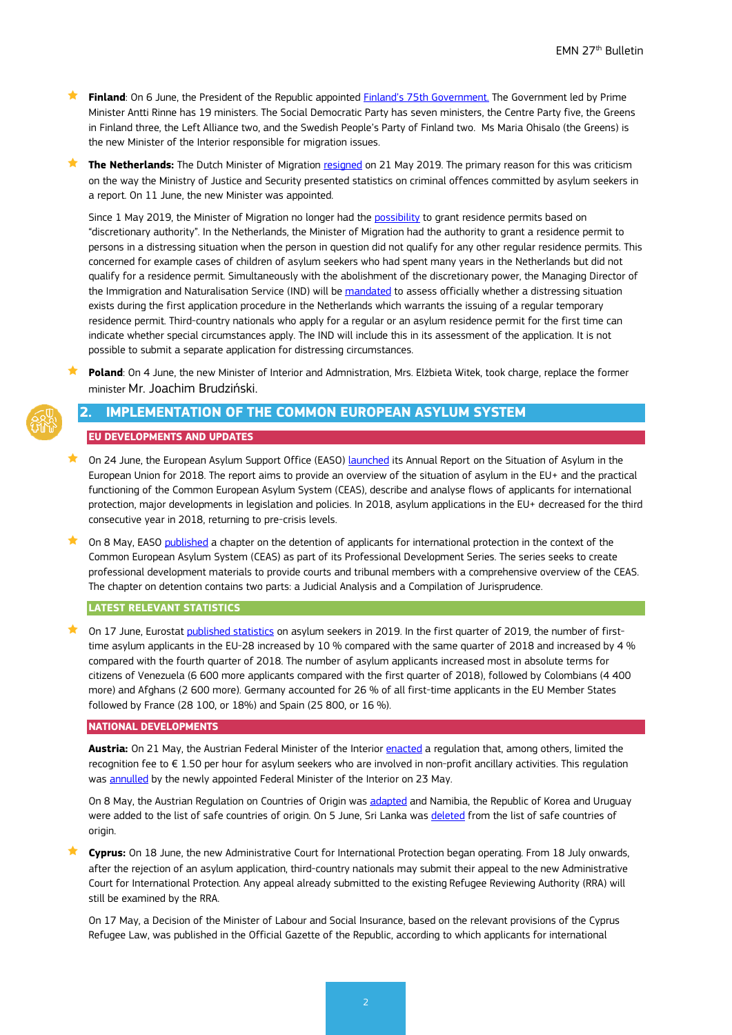**Finland**: On 6 June, the President of the Republic appointed [Finland's 75th Government.](https://vnk.fi/en/article/-/asset_publisher/rinteen-hallitus-nimitettiin) The Government led by Prime Minister Antti Rinne has 19 ministers. The Social Democratic Party has seven ministers, the Centre Party five, the Greens in Finland three, the Left Alliance two, and the Swedish People's Party of Finland two. Ms Maria Ohisalo (the Greens) is the new Minister of the Interior responsible for migration issues.

**The Netherlands:** The Dutch Minister of Migration [resigned](https://www.tweedekamer.nl/kamerstukken/plenaire_verslagen/kamer_in_het_kort/staatssecretaris-harbers-stapt-op-fouten) on 21 May 2019. The primary reason for this was criticism on the way the Ministry of Justice and Security presented statistics on criminal offences committed by asylum seekers in a report. On 11 June, the new Minister was appointed.

Since 1 May 2019, the Minister of Migration no longer had the [possibility](https://ind.nl/en/news/pages/discretionary-power-abolished-with-effect-from-1-may.aspx) to grant residence permits based on "discretionary authority". In the Netherlands, the Minister of Migration had the authority to grant a residence permit to persons in a distressing situation when the person in question did not qualify for any other regular residence permits. This concerned for example cases of children of asylum seekers who had spent many years in the Netherlands but did not qualify for a residence permit. Simultaneously with the abolishment of the discretionary power, the Managing Director of the Immigration and Naturalisation Service (IND) will be [mandated](https://ind.nl/en/news/pages/discretionary-power-abolished-with-effect-from-1-may.aspx) to assess officially whether a distressing situation exists during the first application procedure in the Netherlands which warrants the issuing of a regular temporary residence permit. Third-country nationals who apply for a regular or an asylum residence permit for the first time can indicate whether special circumstances apply. The IND will include this in its assessment of the application. It is not possible to submit a separate application for distressing circumstances.

 **Poland**: On 4 June, the new Minister of Interior and Admnistration, Mrs. Elżbieta Witek, took charge, replace the former minister Mr. Joachim Brudziński.

# <span id="page-1-0"></span>**2. IMPLEMENTATION OF THE COMMON EUROPEAN ASYLUM SYSTEM**

#### **EU DEVELOPMENTS AND UPDATES**

- On 24 June, the European Asylum Support Office (EASO) [launched](https://ecre.us1.list-manage.com/track/click?u=8e3ebd297b1510becc6d6d690&id=d9e3a254c9&e=684d4d3248) its Annual Report on the Situation of Asylum in the European Union for 2018. The report aims to provide an overview of the situation of asylum in the EU+ and the practical functioning of the Common European Asylum System (CEAS), describe and analyse flows of applicants for international protection, major developments in legislation and policies. In 2018, asylum applications in the EU+ decreased for the third consecutive year in 2018, returning to pre-crisis levels.
- On 8 May, EASO [published](https://www.easo.europa.eu/courts-and-tribunals) a chapter on the detention of applicants for international protection in the context of the Common European Asylum System (CEAS) as part of its Professional Development Series. The series seeks to create professional development materials to provide courts and tribunal members with a comprehensive overview of the CEAS. The chapter on detention contains two parts: a Judicial Analysis and a Compilation of Jurisprudence.

#### **LATEST RELEVANT STATISTICS**

 $\bigstar$  On 17 June, Eurostat [published statistics](https://ec.europa.eu/eurostat/statistics-explained/pdfscache/13562.pdf) on asylum seekers in 2019. In the first quarter of 2019, the number of firsttime asylum applicants in the EU-28 increased by 10 % compared with the same quarter of 2018 and increased by 4 % compared with the fourth quarter of 2018. The number of asylum applicants increased most in absolute terms for citizens of Venezuela (6 600 more applicants compared with the first quarter of 2018), followed by Colombians (4 400 more) and Afghans (2 600 more). Germany accounted for 26 % of all first-time applicants in the EU Member States followed by France (28 100, or 18%) and Spain (25 800, or 16 %).

#### **NATIONAL DEVELOPMENTS**

**Austria:** On 21 May, the Austrian Federal Minister of the Interior [enacted](https://www.ris.bka.gv.at/Dokumente/BgblAuth/BGBLA_2019_II_123/BGBLA_2019_II_123.html) a regulation that, among others, limited the recognition fee to  $\epsilon$  1.50 per hour for asylum seekers who are involved in non-profit ancillary activities. This regulation was **annulled** by the newly appointed Federal Minister of the Interior on 23 May.

On 8 May, the Austrian Regulation on Countries of Origin was [adapted](https://www.ris.bka.gv.at/Dokumente/BgblAuth/BGBLA_2019_II_113/BGBLA_2019_II_113.html) and Namibia, the Republic of Korea and Uruguay were added to the list of safe countries of origin. On 5 June, Sri Lanka wa[s deleted](https://www.ris.bka.gv.at/Dokumente/BgblAuth/BGBLA_2019_II_145/BGBLA_2019_II_145.html) from the list of safe countries of origin.

 **Cyprus:** On 18 June, the new Administrative Court for International Protection began operating. From 18 July onwards, after the rejection of an asylum application, third-country nationals may submit their appeal to the new Administrative Court for International Protection. Any appeal already submitted to the existing Refugee Reviewing Authority (RRA) will still be examined by the RRA.

On 17 May, a Decision of the Minister of Labour and Social Insurance, based on the relevant provisions of the Cyprus Refugee Law, was published in the Official Gazette of the Republic, according to which applicants for international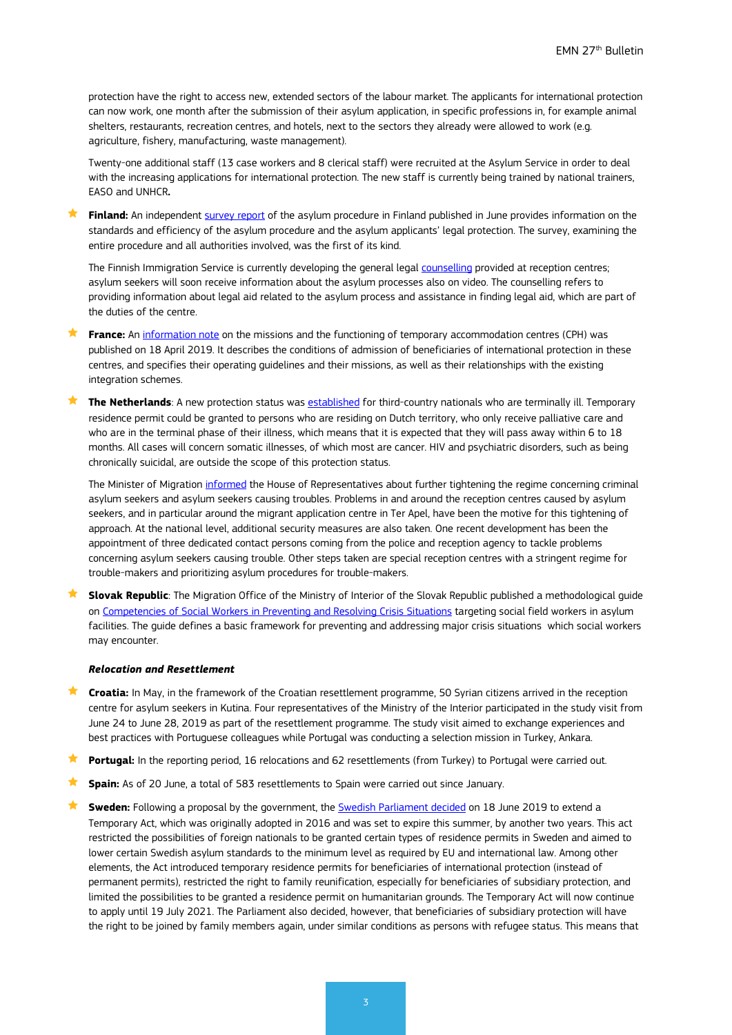protection have the right to access new, extended sectors of the labour market. The applicants for international protection can now work, one month after the submission of their asylum application, in specific professions in, for example animal shelters, restaurants, recreation centres, and hotels, next to the sectors they already were allowed to work (e.g. agriculture, fishery, manufacturing, waste management).

Twenty-one additional staff (13 case workers and 8 clerical staff) were recruited at the Asylum Service in order to deal with the increasing applications for international protection. The new staff is currently being trained by national trainers, EASO and UNHCR**.**

 **Finland:** An independen[t survey report](https://intermin.fi/en/article/-/asset_publisher/riippumaton-selvitys-turvapaikkaprosessia-on-kehitettava-kokonaisuutena) of the asylum procedure in Finland published in June provides information on the standards and efficiency of the asylum procedure and the asylum applicants' legal protection. The survey, examining the entire procedure and all authorities involved, was the first of its kind.

The Finnish Immigration Service is currently developing the general legal [counselling](https://migri.fi/en/press-release/-/asset_publisher/turvapaikanhakija-saa-pian-tietoa-turvapaikkaprosessista-myos-videoil-1) provided at reception centres; asylum seekers will soon receive information about the asylum processes also on video. The counselling refers to providing information about legal aid related to the asylum process and assistance in finding legal aid, which are part of the duties of the centre.

 **France:** An [information note](http://circulaire.legifrance.gouv.fr/pdf/2019/04/cir_44596.pdf) on the missions and the functioning of temporary accommodation centres (CPH) was published on 18 April 2019. It describes the conditions of admission of beneficiaries of international protection in these centres, and specifies their operating guidelines and their missions, as well as their relationships with the existing integration schemes.

 **The Netherlands**: A new protection status was [established](https://zoek.officielebekendmakingen.nl/stcrt-2019-24564.pdf) for third-country nationals who are terminally ill. Temporary residence permit could be granted to persons who are residing on Dutch territory, who only receive palliative care and who are in the terminal phase of their illness, which means that it is expected that they will pass away within 6 to 18 months. All cases will concern somatic illnesses, of which most are cancer. HIV and psychiatric disorders, such as being chronically suicidal, are outside the scope of this protection status.

The Minister of Migration [informed](https://www.rijksoverheid.nl/actueel/nieuws/2019/05/15/ketenmariniers-aan-de-slag) the House of Representatives about further tightening the regime concerning criminal asylum seekers and asylum seekers causing troubles. Problems in and around the reception centres caused by asylum seekers, and in particular around the migrant application centre in Ter Apel, have been the motive for this tightening of approach. At the national level, additional security measures are also taken. One recent development has been the appointment of three dedicated contact persons coming from the police and reception agency to tackle problems concerning asylum seekers causing trouble. Other steps taken are special reception centres with a stringent regime for trouble-makers and prioritizing asylum procedures for trouble-makers.

 **Slovak Republic**: The Migration Office of the Ministry of Interior of the Slovak Republic published a methodological guide o[n Competencies of Social Workers in Preventing and Resolving Crisis Situations](https://www.minv.sk/?tlacove-spravy-6&sprava=vymena-skusenosti-z-riesenia-konfliktov-v-azylovych-zariadeniach-a-v-procese-integracie&subor_spravy=336986) targeting social field workers in asylum facilities. The guide defines a basic framework for preventing and addressing major crisis situations which social workers may encounter.

#### *Relocation and Resettlement*

- **★ Croatia:** In May, in the framework of the Croatian resettlement programme, 50 Syrian citizens arrived in the reception centre for asylum seekers in Kutina. Four representatives of the Ministry of the Interior participated in the study visit from June 24 to June 28, 2019 as part of the resettlement programme. The study visit aimed to exchange experiences and best practices with Portuguese colleagues while Portugal was conducting a selection mission in Turkey, Ankara.
- **Portugal:** In the reporting period, 16 relocations and 62 resettlements (from Turkey) to Portugal were carried out.
- **Spain:** As of 20 June, a total of 583 resettlements to Spain were carried out since January.
- **★ Sweden:** Following a proposal by the government, the [Swedish Parliament decided](https://www.riksdagen.se/sv/dokument-lagar/arende/betankande/forlangning-av-lagen-om-tillfalliga-begransningar_H601SfU26) on 18 June 2019 to extend a Temporary Act, which was originally adopted in 2016 and was set to expire this summer, by another two years. This act restricted the possibilities of foreign nationals to be granted certain types of residence permits in Sweden and aimed to lower certain Swedish asylum standards to the minimum level as required by EU and international law. Among other elements, the Act introduced temporary residence permits for beneficiaries of international protection (instead of permanent permits), restricted the right to family reunification, especially for beneficiaries of subsidiary protection, and limited the possibilities to be granted a residence permit on humanitarian grounds. The Temporary Act will now continue to apply until 19 July 2021. The Parliament also decided, however, that beneficiaries of subsidiary protection will have the right to be joined by family members again, under similar conditions as persons with refugee status. This means that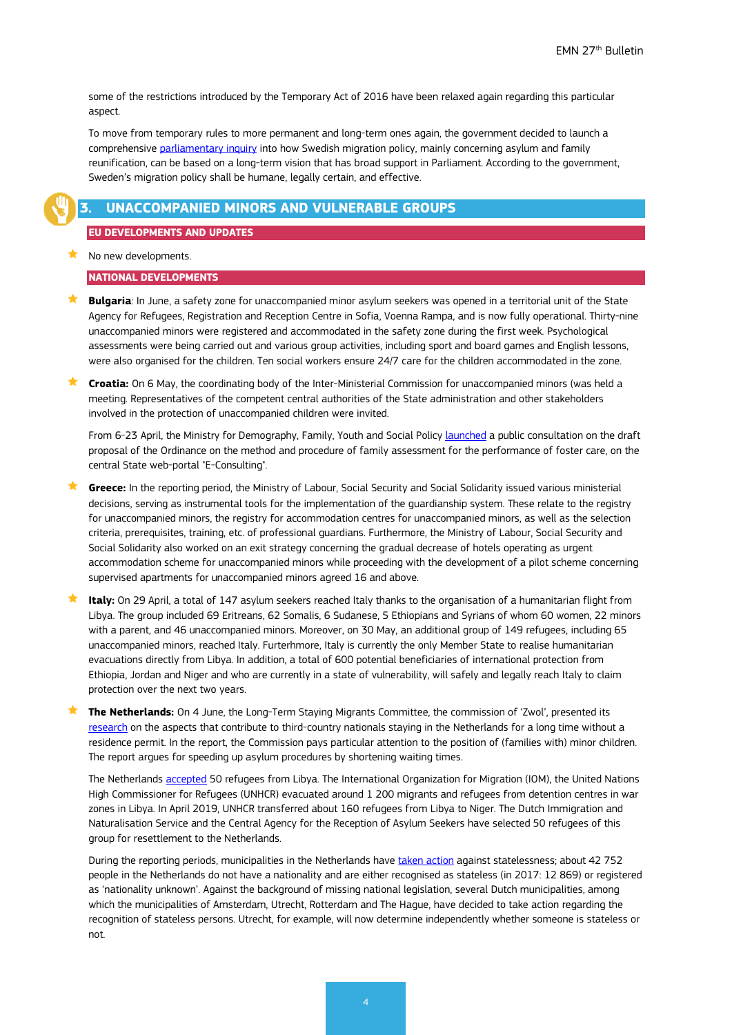some of the restrictions introduced by the Temporary Act of 2016 have been relaxed again regarding this particular aspect.

To move from temporary rules to more permanent and long-term ones again, the government decided to launch a comprehensive [parliamentary inquiry](https://www.regeringen.se/pressmeddelanden/2019/06/parlamentarisk-kommitte-ska-utreda-migrationspolitiken/) into how Swedish migration policy, mainly concerning asylum and family reunification, can be based on a long-term vision that has broad support in Parliament. According to the government, Sweden's migration policy shall be humane, legally certain, and effective.

# <span id="page-3-0"></span>**3. UNACCOMPANIED MINORS AND VULNERABLE GROUPS**

#### **EU DEVELOPMENTS AND UPDATES**

 $\blacktriangleright$  No new developments.

#### **NATIONAL DEVELOPMENTS**

- **Bulgaria**: In June, a safety zone for unaccompanied minor asylum seekers was opened in a territorial unit of the State Agency for Refugees, Registration and Reception Centre in Sofia, Voenna Rampa, and is now fully operational. Thirty-nine unaccompanied minors were registered and accommodated in the safety zone during the first week. Psychological assessments were being carried out and various group activities, including sport and board games and English lessons, were also organised for the children. Ten social workers ensure 24/7 care for the children accommodated in the zone.
- **Croatia:** On 6 May, the coordinating body of the Inter-Ministerial Commission for unaccompanied minors (was held a meeting. Representatives of the competent central authorities of the State administration and other stakeholders involved in the protection of unaccompanied children were invited.

From 6-23 April, the Ministry for Demography, Family, Youth and Social Policy [launched](https://mdomsp.gov.hr/vijesti-8/ministarstvo-otvara-savjetovanje-o-nacrtu-prijedloga-pravilnika-o-nacinu-i-postupku-obiteljske-procjene-za-obavljanje-udomiteljstva/10852) a public consultation on the draft proposal of the Ordinance on the method and procedure of family assessment for the performance of foster care, on the central State web-portal "E-Consulting".

- **Greece:** In the reporting period, the Ministry of Labour, Social Security and Social Solidarity issued various ministerial decisions, serving as instrumental tools for the implementation of the guardianship system. These relate to the registry for unaccompanied minors, the registry for accommodation centres for unaccompanied minors, as well as the selection criteria, prerequisites, training, etc. of professional guardians. Furthermore, the Ministry of Labour, Social Security and Social Solidarity also worked on an exit strategy concerning the gradual decrease of hotels operating as urgent accommodation scheme for unaccompanied minors while proceeding with the development of a pilot scheme concerning supervised apartments for unaccompanied minors agreed 16 and above.
- **Italy:** On 29 April, a total of 147 asylum seekers reached Italy thanks to the organisation of a humanitarian flight from Libya. The group included 69 Eritreans, 62 Somalis, 6 Sudanese, 5 Ethiopians and Syrians of whom 60 women, 22 minors with a parent, and 46 unaccompanied minors. Moreover, on 30 May, an additional group of 149 refugees, including 65 unaccompanied minors, reached Italy. Furterhmore, Italy is currently the only Member State to realise humanitarian evacuations directly from Libya. In addition, a total of 600 potential beneficiaries of international protection from Ethiopia, Jordan and Niger and who are currently in a state of vulnerability, will safely and legally reach Italy to claim protection over the next two years.
- **The Netherlands:** On 4 June, the Long-Term Staying Migrants Committee, the commission of 'Zwol', presented its [research](https://www.rijksoverheid.nl/actueel/nieuws/2019/06/04/commissie-van-zwol-stuur-op-snelheid-en-tijdigheid-in-asielprocedure-door-wachttijden-te-bekorten) on the aspects that contribute to third-country nationals staying in the Netherlands for a long time without a residence permit. In the report, the Commission pays particular attention to the position of (families with) minor children. The report argues for speeding up asylum procedures by shortening waiting times.

The Netherlands [accepted](https://www.rtlnieuws.nl/nieuws/nederland/artikel/4739006/50-vluchtelingen-uit-libie-naar-nederland) 50 refugees from Libya. The International Organization for Migration (IOM), the United Nations High Commissioner for Refugees (UNHCR) evacuated around 1 200 migrants and refugees from detention centres in war zones in Libya. In April 2019, UNHCR transferred about 160 refugees from Libya to Niger. The Dutch Immigration and Naturalisation Service and the Central Agency for the Reception of Asylum Seekers have selected 50 refugees of this group for resettlement to the Netherlands.

During the reporting periods, municipalities in the Netherlands have [taken action](https://nos.nl/artikel/2288115-gemeenten-willen-duizenden-staatlozen-helpen.html) against statelessness; about 42 752 people in the Netherlands do not have a nationality and are either recognised as stateless (in 2017: 12 869) or registered as 'nationality unknown'. Against the background of missing national legislation, several Dutch municipalities, among which the municipalities of Amsterdam, Utrecht, Rotterdam and The Hague, have decided to take action regarding the recognition of stateless persons. Utrecht, for example, will now determine independently whether someone is stateless or not.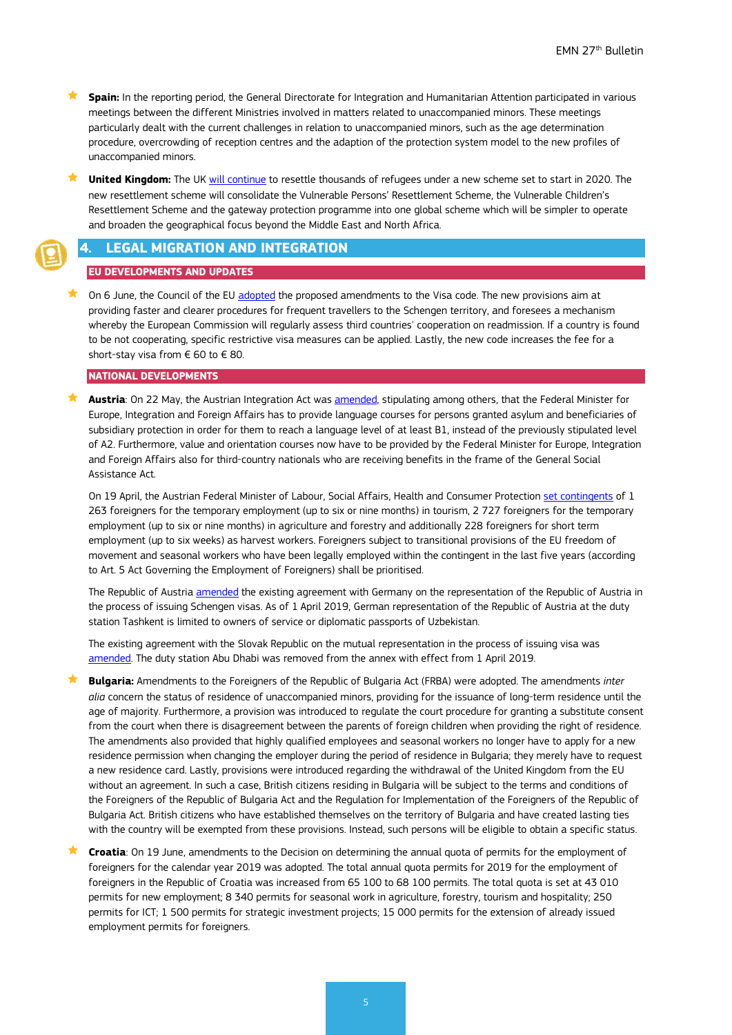- **Spain:** In the reporting period, the General Directorate for Integration and Humanitarian Attention participated in various meetings between the different Ministries involved in matters related to unaccompanied minors. These meetings particularly dealt with the current challenges in relation to unaccompanied minors, such as the age determination procedure, overcrowding of reception centres and the adaption of the protection system model to the new profiles of unaccompanied minors.
- **United Kingdom:** The UK [will continue](https://www.gov.uk/government/news/new-global-resettlement-scheme-for-the-most-vulnerable-refugees-announced) to resettle thousands of refugees under a new scheme set to start in 2020. The new resettlement scheme will consolidate the Vulnerable Persons' Resettlement Scheme, the Vulnerable Children's Resettlement Scheme and the gateway protection programme into one global scheme which will be simpler to operate and broaden the geographical focus beyond the Middle East and North Africa.

### <span id="page-4-0"></span>**4. LEGAL MIGRATION AND INTEGRATION**

#### **EU DEVELOPMENTS AND UPDATES**

On 6 June, the Council of the EU [adopted](https://www.consilium.europa.eu/en/press/press-releases/2019/06/06/visa-policy-eu-updates-rules-to-facilitate-legitimate-travel-and-fight-illegal-migration/) the proposed amendments to the Visa code. The new provisions aim at providing faster and clearer procedures for frequent travellers to the Schengen territory, and foresees a mechanism whereby the European Commission will regularly assess third countries' cooperation on readmission. If a country is found to be not cooperating, specific restrictive visa measures can be applied. Lastly, the new code increases the fee for a short-stay visa from € 60 to € 80.

#### **NATIONAL DEVELOPMENTS**

 **Austria**: On 22 May, the Austrian Integration Act was [amended,](https://www.ris.bka.gv.at/Dokumente/BgblAuth/BGBLA_2019_I_41/BGBLA_2019_I_41.html) stipulating among others, that the Federal Minister for Europe, Integration and Foreign Affairs has to provide language courses for persons granted asylum and beneficiaries of subsidiary protection in order for them to reach a language level of at least B1, instead of the previously stipulated level of A2. Furthermore, value and orientation courses now have to be provided by the Federal Minister for Europe, Integration and Foreign Affairs also for third-country nationals who are receiving benefits in the frame of the General Social Assistance Act.

On 19 April, the Austrian Federal Minister of Labour, Social Affairs, Health and Consumer Protection [set contingents](https://www.ris.bka.gv.at/Dokumente/BgblAuth/BGBLA_2019_III_30/BGBLA_2019_III_30.html) of 1 263 foreigners for the temporary employment (up to six or nine months) in tourism, 2 727 foreigners for the temporary employment (up to six or nine months) in agriculture and forestry and additionally 228 foreigners for short term employment (up to six weeks) as harvest workers. Foreigners subject to transitional provisions of the EU freedom of movement and seasonal workers who have been legally employed within the contingent in the last five years (according to Art. 5 Act Governing the Employment of Foreigners) shall be prioritised.

The Republic of Austri[a amended](https://www.ris.bka.gv.at/Dokumente/BgblAuth/BGBLA_2019_III_55/BGBLA_2019_III_55.html) the existing agreement with Germany on the representation of the Republic of Austria in the process of issuing Schengen visas. As of 1 April 2019, German representation of the Republic of Austria at the duty station Tashkent is limited to owners of service or diplomatic passports of Uzbekistan.

The existing agreement with the Slovak Republic on the mutual representation in the process of issuing visa was [amended.](https://www.ris.bka.gv.at/Dokumente/BgblAuth/BGBLA_2019_III_30/BGBLA_2019_III_30.html) The duty station Abu Dhabi was removed from the annex with effect from 1 April 2019.

 **Bulgaria:** Amendments to the Foreigners of the Republic of Bulgaria Act (FRBA) were adopted. The amendments *inter alia* concern the status of residence of unaccompanied minors, providing for the issuance of long-term residence until the age of majority. Furthermore, a provision was introduced to regulate the court procedure for granting a substitute consent from the court when there is disagreement between the parents of foreign children when providing the right of residence. The amendments also provided that highly qualified employees and seasonal workers no longer have to apply for a new residence permission when changing the employer during the period of residence in Bulgaria; they merely have to request a new residence card. Lastly, provisions were introduced regarding the withdrawal of the United Kingdom from the EU without an agreement. In such a case, British citizens residing in Bulgaria will be subject to the terms and conditions of the Foreigners of the Republic of Bulgaria Act and the Regulation for Implementation of the Foreigners of the Republic of Bulgaria Act. British citizens who have established themselves on the territory of Bulgaria and have created lasting ties with the country will be exempted from these provisions. Instead, such persons will be eligible to obtain a specific status.

 **Croatia**: On 19 June, amendments to the Decision on determining the annual quota of permits for the employment of foreigners for the calendar year 2019 was adopted. The total annual quota permits for 2019 for the employment of foreigners in the Republic of Croatia was increased from 65 100 to 68 100 permits. The total quota is set at 43 010 permits for new employment; 8 340 permits for seasonal work in agriculture, forestry, tourism and hospitality; 250 permits for ICT; 1 500 permits for strategic investment projects; 15 000 permits for the extension of already issued employment permits for foreigners.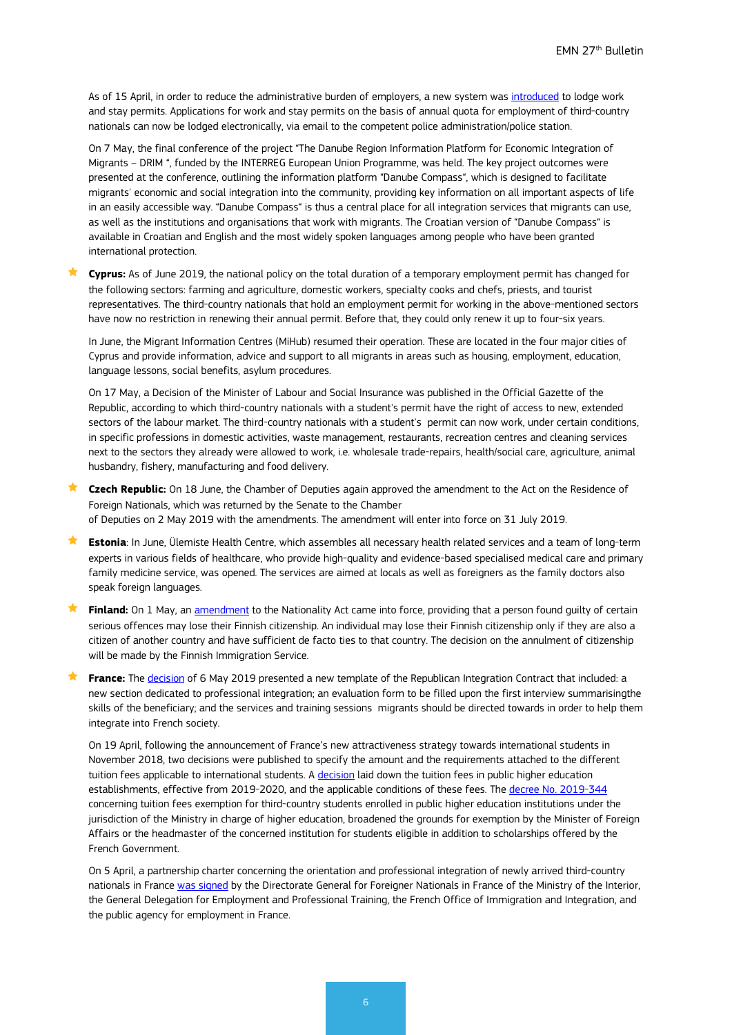As of 15 April, in order to reduce the administrative burden of employers, a new system was [introduced](https://mup.gov.hr/vijesti/zahtjevi-za-boravak-i-rad-stranaca-sada-i-elektronickim-putem/283354) to lodge work and stay permits. Applications for work and stay permits on the basis of annual quota for employment of third-country nationals can now be lodged electronically, via email to the competent police administration/police station.

On 7 May, the final conference of the project "The Danube Region Information Platform for Economic Integration of Migrants – DRIM ", funded by the INTERREG European Union Programme, was held. The key project outcomes were presented at the conference, outlining the information platform "Danube Compass", which is designed to facilitate migrants' economic and social integration into the community, providing key information on all important aspects of life in an easily accessible way. "Danube Compass" is thus a central place for all integration services that migrants can use, as well as the institutions and organisations that work with migrants. The Croatian version of "Danube Compass" is available in Croatian and English and the most widely spoken languages among people who have been granted international protection.

 **Cyprus:** As of June 2019, the national policy on the total duration of a temporary employment permit has changed for the following sectors: farming and agriculture, domestic workers, specialty cooks and chefs, priests, and tourist representatives. The third-country nationals that hold an employment permit for working in the above-mentioned sectors have now no restriction in renewing their annual permit. Before that, they could only renew it up to four-six years.

In June, the Migrant Information Centres (MiHub) resumed their operation. These are located in the four major cities of Cyprus and provide information, advice and support to all migrants in areas such as housing, employment, education, language lessons, social benefits, asylum procedures.

On 17 May, a Decision of the Minister of Labour and Social Insurance was published in the Official Gazette of the Republic, according to which third-country nationals with a student's permit have the right of access to new, extended sectors of the labour market. The third-country nationals with a student's permit can now work, under certain conditions, in specific professions in domestic activities, waste management, restaurants, recreation centres and cleaning services next to the sectors they already were allowed to work, i.e. wholesale trade-repairs, health/social care, agriculture, animal husbandry, fishery, manufacturing and food delivery.

- **Czech Republic:** On 18 June, the Chamber of Deputies again approved the amendment to the Act on the Residence of Foreign Nationals, which was returned by the Senate to the Chamber of Deputies on 2 May 2019 with the amendments. The amendment will enter into force on 31 July 2019.
- **Estonia**: In June, Ülemiste Health Centre, which assembles all necessary health related services and a team of long-term experts in various fields of healthcare, who provide high-quality and evidence-based specialised medical care and primary family medicine service, was opened. The services are aimed at locals as well as foreigners as the family doctors also speak foreign languages.
- **Finland:** On 1 May, an [amendment](https://intermin.fi/en/article/-/asset_publisher/vakaviin-rikoksiin-syyllistynyt-voi-jatkossa-menettaa-suomen-kansalaisuuden) to the Nationality Act came into force, providing that a person found guilty of certain serious offences may lose their Finnish citizenship. An individual may lose their Finnish citizenship only if they are also a citizen of another country and have sufficient de facto ties to that country. The decision on the annulment of citizenship will be made by the Finnish Immigration Service.
- **France:** The [decision](https://www.legifrance.gouv.fr/jo_pdf.do?id=JORFTEXT000038471323) of 6 May 2019 presented a new template of the Republican Integration Contract that included: a new section dedicated to professional integration; an evaluation form to be filled upon the first interview summarisingthe skills of the beneficiary; and the services and training sessions migrants should be directed towards in order to help them integrate into French society.

On 19 April, following the announcement of France's new attractiveness strategy towards international students in November 2018, two decisions were published to specify the amount and the requirements attached to the different tuition fees applicable to international students. A [decision](https://www.legifrance.gouv.fr/affichTexte.do?cidTexte=JORFTEXT000038396885&categorieLien=id) laid down the tuition fees in public higher education establishments, effective from 2019-2020, and the applicable conditions of these fees. The [decree No. 2019-344](https://www.legifrance.gouv.fr/eli/decret/2019/4/19/ESRS1906912D/jo/texte) concerning tuition fees exemption for third-country students enrolled in public higher education institutions under the jurisdiction of the Ministry in charge of higher education, broadened the grounds for exemption by the Minister of Foreign Affairs or the headmaster of the concerned institution for students eligible in addition to scholarships offered by the French Government.

On 5 April, a partnership charter concerning the orientation and professional integration of newly arrived third-country nationals in Franc[e was signed](https://www.immigration.interieur.gouv.fr/Info-ressources/Actualites/L-actu-immigration/Signature-le-5-avril-d-une-charte-de-partenariat-entre-la-DGEF-la-DGEFP-l-OFII-et-le-service-public-de-l-emploi-pour-l-orientation-et-l-insertion-professionnelle-des-etrangers-primo-arrivants) by the Directorate General for Foreigner Nationals in France of the Ministry of the Interior, the General Delegation for Employment and Professional Training, the French Office of Immigration and Integration, and the public agency for employment in France.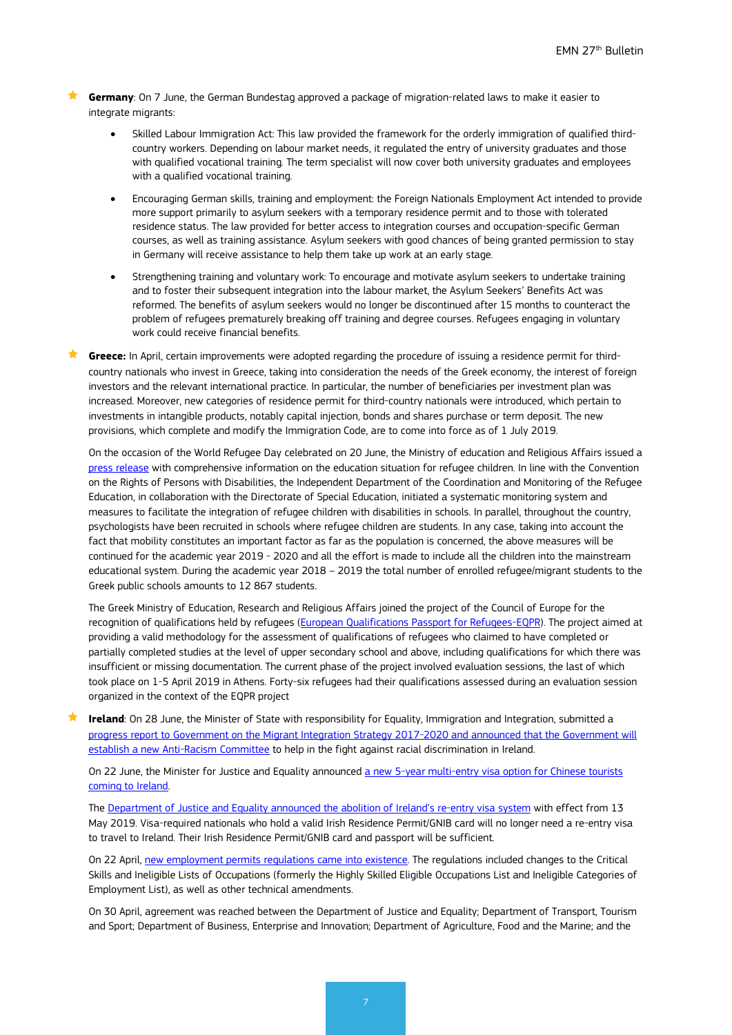**Germany**: On 7 June, the German Bundestag approved a package of migration-related laws to make it easier to integrate migrants:

- Skilled Labour Immigration Act: This law provided the framework for the orderly immigration of qualified thirdcountry workers. Depending on labour market needs, it regulated the entry of university graduates and those with qualified vocational training. The term specialist will now cover both university graduates and employees with a qualified vocational training.
- Encouraging German skills, training and employment: the Foreign Nationals Employment Act intended to provide more support primarily to asylum seekers with a temporary residence permit and to those with tolerated residence status. The law provided for better access to integration courses and occupation-specific German courses, as well as training assistance. Asylum seekers with good chances of being granted permission to stay in Germany will receive assistance to help them take up work at an early stage.
- Strengthening training and voluntary work: To encourage and motivate asylum seekers to undertake training and to foster their subsequent integration into the labour market, the Asylum Seekers' Benefits Act was reformed. The benefits of asylum seekers would no longer be discontinued after 15 months to counteract the problem of refugees prematurely breaking off training and degree courses. Refugees engaging in voluntary work could receive financial benefits.
- **Greece:** In April, certain improvements were adopted regarding the procedure of issuing a residence permit for thirdcountry nationals who invest in Greece, taking into consideration the needs of the Greek economy, the interest of foreign investors and the relevant international practice. In particular, the number of beneficiaries per investment plan was increased. Moreover, new categories of residence permit for third-country nationals were introduced, which pertain to investments in intangible products, notably capital injection, bonds and shares purchase or term deposit. The new provisions, which complete and modify the Immigration Code, are to come into force as of 1 July 2019.

On the occasion of the World Refugee Day celebrated on 20 June, the Ministry of education and Religious Affairs issued a [press release](https://www.minedu.gov.gr/tothema-prosfigiko-m) with comprehensive information on the education situation for refugee children. In line with the Convention on the Rights of Persons with Disabilities, the Independent Department of the Coordination and Monitoring of the Refugee Education, in collaboration with the Directorate of Special Education, initiated a systematic monitoring system and measures to facilitate the integration of refugee children with disabilities in schools. In parallel, throughout the country, psychologists have been recruited in schools where refugee children are students. In any case, taking into account the fact that mobility constitutes an important factor as far as the population is concerned, the above measures will be continued for the academic year 2019 - 2020 and all the effort is made to include all the children into the mainstream educational system. During the academic year 2018 – 2019 the total number of enrolled refugee/migrant students to the Greek public schools amounts to 12 867 students.

The Greek Ministry of Education, Research and Religious Affairs joined the project of the Council of Europe for the recognition of qualifications held by refugees [\(European Qualifications Passport for Refugees-EQPR\)](https://www.coe.int/en/web/education/recognition-of-refugees-qualifications). The project aimed at providing a valid methodology for the assessment of qualifications of refugees who claimed to have completed or partially completed studies at the level of upper secondary school and above, including qualifications for which there was insufficient or missing documentation. The current phase of the project involved evaluation sessions, the last of which took place on 1-5 April 2019 in Athens. Forty-six refugees had their qualifications assessed during an evaluation session organized in the context of the EQPR project

**Ireland**: On 28 June, the Minister of State with responsibility for Equality, Immigration and Integration, submitted a [progress report to Government on the Migrant Integration Strategy 2017-2020 and announced that the Government will](http://www.justice.ie/en/JELR/Pages/PR19000174)  [establish a new Anti-Racism Committee](http://www.justice.ie/en/JELR/Pages/PR19000174) to help in the fight against racial discrimination in Ireland.

On 22 June, the Minister for Justice and Equality announced a new 5-year multi-entry visa option for Chinese tourists [coming to Ireland.](http://www.inis.gov.ie/en/INIS/Pages/press-release-minister-flanagan-announces-new-5-year-multi-entry-visa-option-for-chinese-tourists)

The [Department of Justice and Equality announced the abolition of Ireland's re-entry visa system](http://www.justice.ie/en/JELR/Pages/PR19000110) with effect from 13 May 2019. Visa-required nationals who hold a valid Irish Residence Permit/GNIB card will no longer need a re-entry visa to travel to Ireland. Their Irish Residence Permit/GNIB card and passport will be sufficient.

On 22 April, [new employment permits regulations came into](https://dbei.gov.ie/en/What-We-Do/Workplace-and-Skills/Employment-Permits/) existence. The regulations included changes to the Critical Skills and Ineligible Lists of Occupations (formerly the Highly Skilled Eligible Occupations List and Ineligible Categories of Employment List), as well as other technical amendments.

On 30 April, agreement was reached between the Department of Justice and Equality; Department of Transport, Tourism and Sport; Department of Business, Enterprise and Innovation; Department of Agriculture, Food and the Marine; and the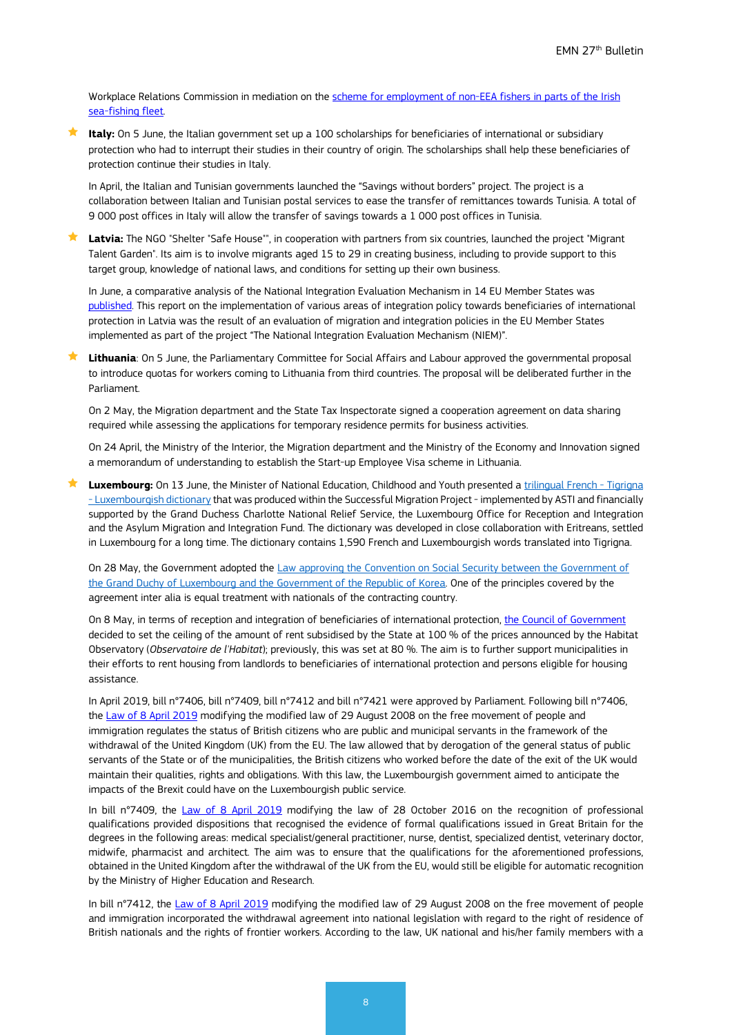Workplace Relations Commission in mediation on the scheme for employment of non-EEA fishers in parts of the Irish [sea-fishing fleet.](http://www.justice.ie/en/JELR/Pages/PR19000123)

 **Italy:** On 5 June, the Italian government set up a 100 scholarships for beneficiaries of international or subsidiary protection who had to interrupt their studies in their country of origin. The scholarships shall help these beneficiaries of protection continue their studies in Italy.

In April, the Italian and Tunisian governments launched the "Savings without borders" project. The project is a collaboration between Italian and Tunisian postal services to ease the transfer of remittances towards Tunisia. A total of 9 000 post offices in Italy will allow the transfer of savings towards a 1 000 post offices in Tunisia.

 **Latvia:** The NGO "Shelter "Safe House"", in cooperation with partners from six countries, launched the project "Migrant Talent Garden". Its aim is to involve migrants aged 15 to 29 in creating business, including to provide support to this target group, knowledge of national laws, and conditions for setting up their own business.

In June, a comparative analysis of the National Integration Evaluation Mechanism in 14 EU Member States was [published.](http://www.forintegration.eu/pl/the-comparative-report-launched-among-ec-officers) This report on the implementation of various areas of integration policy towards beneficiaries of international protection in Latvia was the result of an evaluation of migration and integration policies in the EU Member States implemented as part of the project "The National Integration Evaluation Mechanism (NIEM)".

 **Lithuania**: On 5 June, the Parliamentary Committee for Social Affairs and Labour approved the governmental proposal to introduce quotas for workers coming to Lithuania from third countries. The proposal will be deliberated further in the Parliament.

On 2 May, the Migration department and the State Tax Inspectorate signed a cooperation agreement on data sharing required while assessing the applications for temporary residence permits for business activities.

On 24 April, the Ministry of the Interior, the Migration department and the Ministry of the Economy and Innovation signed a memorandum of understanding to establish the Start-up Employee Visa scheme in Lithuania.

Luxembourg: On 13 June, the Minister of National Education, Childhood and Youth presented [a trilingual French -](https://www.asti.lu/wp-content/uploads/2019/06/dictionnaire_tigrigna_site.pdf) Tigrigna - [Luxembourgish dictionary](https://www.asti.lu/wp-content/uploads/2019/06/dictionnaire_tigrigna_site.pdf) that was produced within the Successful Migration Project - implemented by ASTI and financially supported by the Grand Duchess Charlotte National Relief Service, the Luxembourg Office for Reception and Integration and the Asylum Migration and Integration Fund. The dictionary was developed in close collaboration with Eritreans, settled in Luxembourg for a long time. The dictionary contains 1,590 French and Luxembourgish words translated into Tigrigna.

On 28 May, the Government adopted the Law approving the Convention on Social Security between the Government of [the Grand Duchy of Luxembourg and the Government of the Republic of Korea.](http://legilux.public.lu/eli/etat/leg/loi/2019/05/28/a381/jo) One of the principles covered by the agreement inter alia is equal treatment with nationals of the contracting country.

On 8 May, in terms of reception and integration of beneficiaries of international protection, the [Council of Government](https://gouvernement.lu/fr/actualites/toutes_actualites/communiques/2019/05-mai/08-conseil-gouvernement.html) decided to set the ceiling of the amount of rent subsidised by the State at 100 % of the prices announced by the Habitat Observatory (*Observatoire de l'Habitat*); previously, this was set at 80 %. The aim is to further support municipalities in their efforts to rent housing from landlords to beneficiaries of international protection and persons eligible for housing assistance.

In April 2019, bill n°7406, bill n°7409, bill n°7412 and bill n°7421 were approved by Parliament. Following bill n°7406, the [Law of 8 April 2019](http://legilux.public.lu/eli/etat/leg/loi/2019/04/08/a242/jo) modifying the modified law of 29 August 2008 on the free movement of people and immigration regulates the status of British citizens who are public and municipal servants in the framework of the withdrawal of the United Kingdom (UK) from the EU. The law allowed that by derogation of the general status of public servants of the State or of the municipalities, the British citizens who worked before the date of the exit of the UK would maintain their qualities, rights and obligations. With this law, the Luxembourgish government aimed to anticipate the impacts of the Brexit could have on the Luxembourgish public service.

In bill n°7409, the [Law of 8 April 2019](http://legilux.public.lu/eli/etat/leg/loi/2019/04/08/a241/jo) modifying the law of 28 October 2016 on the recognition of professional qualifications provided dispositions that recognised the evidence of formal qualifications issued in Great Britain for the degrees in the following areas: medical specialist/general practitioner, nurse, dentist, specialized dentist, veterinary doctor, midwife, pharmacist and architect. The aim was to ensure that the qualifications for the aforementioned professions, obtained in the United Kingdom after the withdrawal of the UK from the EU, would still be eligible for automatic recognition by the Ministry of Higher Education and Research.

In bill n°7412, the [Law of 8 April 2019](http://legilux.public.lu/eli/etat/leg/loi/2019/04/08/a242/jo) modifying the modified law of 29 August 2008 on the free movement of people and immigration incorporated the withdrawal agreement into national legislation with regard to the right of residence of British nationals and the rights of frontier workers. According to the law, UK national and his/her family members with a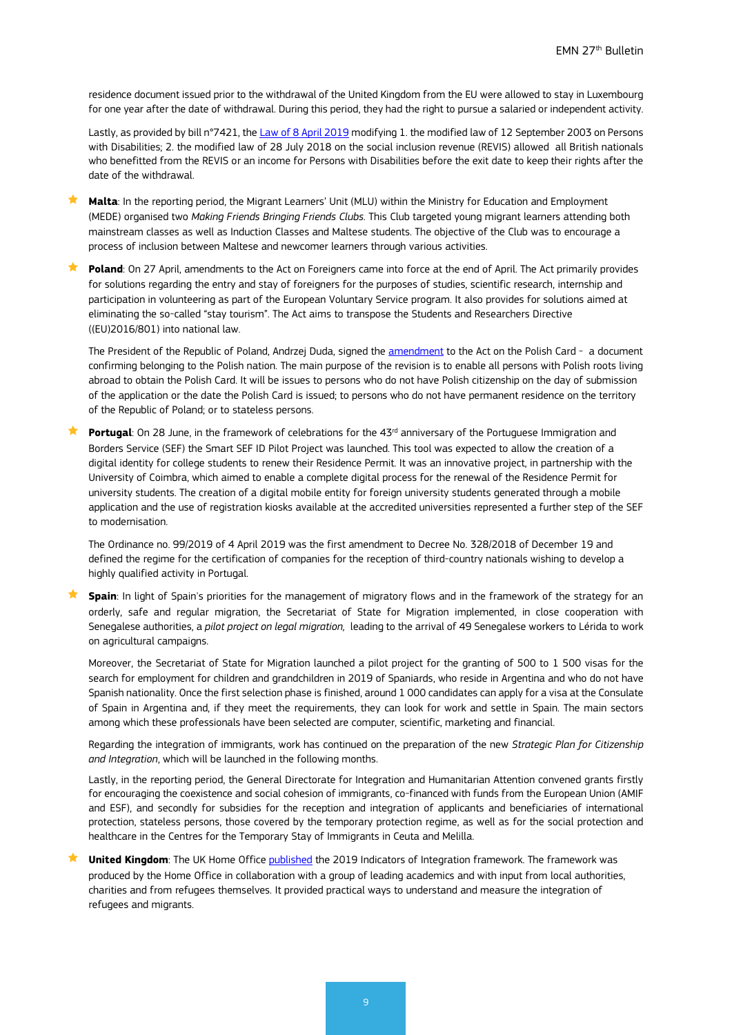residence document issued prior to the withdrawal of the United Kingdom from the EU were allowed to stay in Luxembourg for one year after the date of withdrawal. During this period, they had the right to pursue a salaried or independent activity.

Lastly, as provided by bill n°7421, th[e Law of 8 April 2019](http://legilux.public.lu/eli/etat/leg/loi/2019/04/08/a240/jo) modifying 1. the modified law of 12 September 2003 on Persons with Disabilities; 2. the modified law of 28 July 2018 on the social inclusion revenue (REVIS) allowed all British nationals who benefitted from the REVIS or an income for Persons with Disabilities before the exit date to keep their rights after the date of the withdrawal.

 **Malta**: In the reporting period, the Migrant Learners' Unit (MLU) within the Ministry for Education and Employment (MEDE) organised two *Making Friends Bringing Friends Clubs.* This Club targeted young migrant learners attending both mainstream classes as well as Induction Classes and Maltese students. The objective of the Club was to encourage a process of inclusion between Maltese and newcomer learners through various activities.

**Poland**: On 27 April, amendments to the Act on Foreigners came into force at the end of April. The Act primarily provides for solutions regarding the entry and stay of foreigners for the purposes of studies, scientific research, internship and participation in volunteering as part of the European Voluntary Service program. It also provides for solutions aimed at eliminating the so-called "stay tourism". The Act aims to transpose the Students and Researchers Directive ((EU)2016/801) into national law.

The President of the Republic of Poland, Andrzej Duda, signed the [amendment](http://pai.media.pl/pai_wiadomosci.php?id=5251/) to the Act on the Polish Card - a document confirming belonging to the Polish nation. The main purpose of the revision is to enable all persons with Polish roots living abroad to obtain the Polish Card. It will be issues to persons who do not have Polish citizenship on the day of submission of the application or the date the Polish Card is issued; to persons who do not have permanent residence on the territory of the Republic of Poland; or to stateless persons.

**Portugal**: On 28 June, in the framework of celebrations for the 43<sup>rd</sup> anniversary of the Portuguese Immigration and Borders Service (SEF) the Smart SEF ID Pilot Project was launched. This tool was expected to allow the creation of a digital identity for college students to renew their Residence Permit. It was an innovative project, in partnership with the University of Coimbra, which aimed to enable a complete digital process for the renewal of the Residence Permit for university students. The creation of a digital mobile entity for foreign university students generated through a mobile application and the use of registration kiosks available at the accredited universities represented a further step of the SEF to modernisation.

The Ordinance no. 99/2019 of 4 April 2019 was the first amendment to Decree No. 328/2018 of December 19 and defined the regime for the certification of companies for the reception of third-country nationals wishing to develop a highly qualified activity in Portugal.

 **Spain**: In light of Spain's priorities for the management of migratory flows and in the framework of the strategy for an orderly, safe and regular migration, the Secretariat of State for Migration implemented, in close cooperation with Senegalese authorities, a *pilot project on legal migration,* leading to the arrival of 49 Senegalese workers to Lérida to work on agricultural campaigns.

Moreover, the Secretariat of State for Migration launched a pilot project for the granting of 500 to 1 500 visas for the search for employment for children and grandchildren in 2019 of Spaniards, who reside in Argentina and who do not have Spanish nationality. Once the first selection phase is finished, around 1 000 candidates can apply for a visa at the Consulate of Spain in Argentina and, if they meet the requirements, they can look for work and settle in Spain. The main sectors among which these professionals have been selected are computer, scientific, marketing and financial.

Regarding the integration of immigrants, work has continued on the preparation of the new *Strategic Plan for Citizenship and Integration*, which will be launched in the following months.

Lastly, in the reporting period, the General Directorate for Integration and Humanitarian Attention convened grants firstly for encouraging the coexistence and social cohesion of immigrants, co-financed with funds from the European Union (AMIF and ESF), and secondly for subsidies for the reception and integration of applicants and beneficiaries of international protection, stateless persons, those covered by the temporary protection regime, as well as for the social protection and healthcare in the Centres for the Temporary Stay of Immigrants in Ceuta and Melilla.

**★ United Kingdom**: The UK Home Office [published](https://www.gov.uk/government/news/new-framework-to-improve-integration-support) the 2019 Indicators of Integration framework. The framework was produced by the Home Office in collaboration with a group of leading academics and with input from local authorities, charities and from refugees themselves. It provided practical ways to understand and measure the integration of refugees and migrants.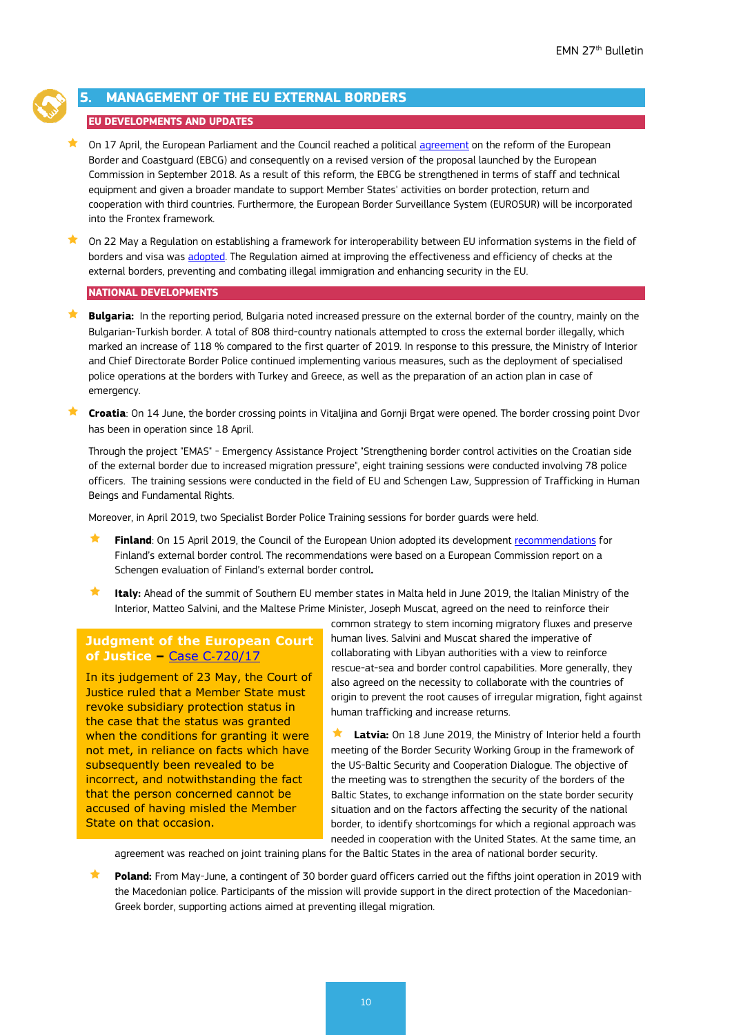

# <span id="page-9-0"></span>**5. MANAGEMENT OF THE EU EXTERNAL BORDERS**

# **EU DEVELOPMENTS AND UPDATES**

 $\bigstar$  On 17 April, the European Parliament and the Council reached a political [agreement](http://www.europarl.europa.eu/doceo/document/TA-8-2019-0415_EN.html) on the reform of the European Border and Coastguard (EBCG) and consequently on a revised version of the proposal launched by the European Commission in September 2018. As a result of this reform, the EBCG be strengthened in terms of staff and technical equipment and given a broader mandate to support Member States' activities on border protection, return and cooperation with third countries. Furthermore, the European Border Surveillance System (EUROSUR) will be incorporated into the Frontex framework.

 $\bigstar$  On 22 May a Regulation on establishing a framework for interoperability between EU information systems in the field of borders and visa was [adopted.](http://www.europeanmigrationlaw.eu/documents/Regulation%202019_817-Interoperability-Borders&visas.pdf) The Regulation aimed at improving the effectiveness and efficiency of checks at the external borders, preventing and combating illegal immigration and enhancing security in the EU.

#### **NATIONAL DEVELOPMENTS**

**Bulgaria:** In the reporting period, Bulgaria noted increased pressure on the external border of the country, mainly on the Bulgarian-Turkish border. A total of 808 third-country nationals attempted to cross the external border illegally, which marked an increase of 118 % compared to the first quarter of 2019. In response to this pressure, the Ministry of Interior and Chief Directorate Border Police continued implementing various measures, such as the deployment of specialised police operations at the borders with Turkey and Greece, as well as the preparation of an action plan in case of emergency.

**★ Croatia**: On 14 June, the border crossing points in Vitaljina and Gornji Brgat were opened. The border crossing point Dvor has been in operation since 18 April.

Through the project "EMAS" - Emergency Assistance Project "Strengthening border control activities on the Croatian side of the external border due to increased migration pressure", eight training sessions were conducted involving 78 police officers. The training sessions were conducted in the field of EU and Schengen Law, Suppression of Trafficking in Human Beings and Fundamental Rights.

Moreover, in April 2019, two Specialist Border Police Training sessions for border guards were held.

- **Finland**: On 15 April 2019, the Council of the European Union adopted its developmen[t recommendations](file:///%5C%5Cicfi.icfconsulting.com%5Corg%5Cea%5Cjobs%5CPIP%5CDG%20HOME%20EMN%202018-2020%5CWS%20III%5CIII.18%20Visibility_dissemination%5CBulletin%5C27th%5C%E2%80%A2https:%5Cwww.raja.fi%5Cfacts%5Cnews_from_the_border_guard%5C1%5C0%5Ceuropean_union_finds_finland_s_integrated_border_management_system_to_be_of_a_high_standard_but_more_border_control_personnel_are_required_and_technical_surveillance_must_be_improved_on_the_eastern_border_77537) for Finland's external border control. The recommendations were based on a European Commission report on a Schengen evaluation of Finland's external border control**.**
- **Italy:** Ahead of the summit of Southern EU member states in Malta held in June 2019, the Italian Ministry of the Interior, Matteo Salvini, and the Maltese Prime Minister, Joseph Muscat, agreed on the need to reinforce their

### **Judgment of the European Court of Justice –** Case C‑[720/17](http://curia.europa.eu/juris/document/document.jsf?text=&docid=214394&pageIndex=0&doclang=EN&mode=req&dir=&occ=first&part=1&cid=575007)

In its judgement of 23 May, the Court of Justice ruled that a Member State must revoke subsidiary protection status in the case that the status was granted when the conditions for granting it were not met, in reliance on facts which have subsequently been revealed to be incorrect, and notwithstanding the fact that the person concerned cannot be accused of having misled the Member State on that occasion.

common strategy to stem incoming migratory fluxes and preserve human lives. Salvini and Muscat shared the imperative of collaborating with Libyan authorities with a view to reinforce rescue-at-sea and border control capabilities. More generally, they also agreed on the necessity to collaborate with the countries of origin to prevent the root causes of irregular migration, fight against human trafficking and increase returns.

 **Latvia:** On 18 June 2019, the Ministry of Interior held a fourth meeting of the Border Security Working Group in the framework of the US-Baltic Security and Cooperation Dialogue. The objective of the meeting was to strengthen the security of the borders of the Baltic States, to exchange information on the state border security situation and on the factors affecting the security of the national border, to identify shortcomings for which a regional approach was needed in cooperation with the United States. At the same time, an

agreement was reached on joint training plans for the Baltic States in the area of national border security.

 **Poland:** From May-June, a contingent of 30 border guard officers carried out the fifths joint operation in 2019 with the Macedonian police. Participants of the mission will provide support in the direct protection of the Macedonian-Greek border, supporting actions aimed at preventing illegal migration.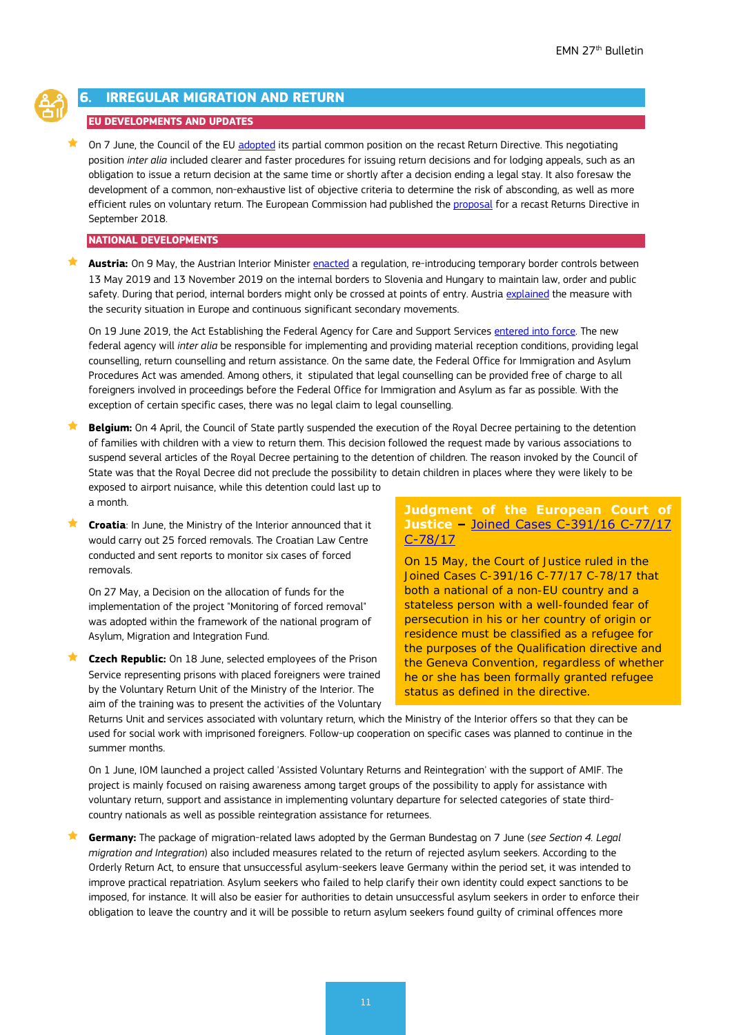

# <span id="page-10-0"></span>**IRREGULAR MIGRATION AND RETURN**

# **EU DEVELOPMENTS AND UPDATES**

On 7 June, the Council of the EU [adopted](https://www.consilium.europa.eu/en/press/press-releases/2019/06/07/migration-policy-council-agrees-partial-negotiating-position-on-return-directive/) its partial common position on the recast Return Directive. This negotiating position *inter alia* included clearer and faster procedures for issuing return decisions and for lodging appeals, such as an obligation to issue a return decision at the same time or shortly after a decision ending a legal stay. It also foresaw the development of a common, non-exhaustive list of objective criteria to determine the risk of absconding, as well as more efficient rules on voluntary return. The European Commission had published the [proposal](https://eur-lex.europa.eu/resource.html?uri=cellar:829fbece-b661-11e8-99ee-01aa75ed71a1.0001.02/DOC_1&format=PDF) for a recast Returns Directive in September 2018.

#### **NATIONAL DEVELOPMENTS**

★ **Austria:** On 9 May, the Austrian Interior Ministe[r enacted](https://www.ris.bka.gv.at/Dokumente/BgblAuth/BGBLA_2019_II_114/BGBLA_2019_II_114.html) a requlation, re-introducing temporary border controls between 13 May 2019 and 13 November 2019 on the internal borders to Slovenia and Hungary to maintain law, order and public safety. During that period, internal borders might only be crossed at points of entry. Austria [explained](https://ec.europa.eu/home-affairs/sites/homeaffairs/files/what-we-do/policies/borders-and-visas/schengen/reintroduction-border-control/docs/ms_notifications_-_reintroduction_of_border_control_en.pdf) the measure with the security situation in Europe and continuous significant secondary movements.

On 19 June 2019, the Act Establishing the Federal Agency for Care and Support Services [entered into force.](https://www.ris.bka.gv.at/Dokumente/BgblAuth/BGBLA_2019_I_53/BGBLA_2019_I_53.html) The new federal agency will *inter alia* be responsible for implementing and providing material reception conditions, providing legal counselling, return counselling and return assistance. On the same date, the Federal Office for Immigration and Asylum Procedures Act was amended. Among others, it stipulated that legal counselling can be provided free of charge to all foreigners involved in proceedings before the Federal Office for Immigration and Asylum as far as possible. With the exception of certain specific cases, there was no legal claim to legal counselling.

 **Belgium:** On 4 April, the Council of State partly suspended the execution of the Royal Decree pertaining to the detention of families with children with a view to return them. This decision followed the request made by various associations to suspend several articles of the Royal Decree pertaining to the detention of children. The reason invoked by the Council of State was that the Royal Decree did not preclude the possibility to detain children in places where they were likely to be exposed to airport nuisance, while this detention could last up to a month.

 **Croatia**: In June, the Ministry of the Interior announced that it would carry out 25 forced removals. The Croatian Law Centre conducted and sent reports to monitor six cases of forced removals.

On 27 May, a Decision on the allocation of funds for the implementation of the project "Monitoring of forced removal" was adopted within the framework of the national program of Asylum, Migration and Integration Fund.

 **Czech Republic:** On 18 June, selected employees of the Prison Service representing prisons with placed foreigners were trained by the Voluntary Return Unit of the Ministry of the Interior. The aim of the training was to present the activities of the Voluntary **Judgment of the European Court of Justice –** [Joined Cases C-391/16 C-77/17](http://curia.europa.eu/juris/document/document.jsf;jsessionid=2C15DE3A4A36F006E6E22596F7433678?text=&docid=203230&pageIndex=0&doclang=EN&mode=req&dir=&occ=first&part=1&cid=3908022)  [C-78/17](http://curia.europa.eu/juris/document/document.jsf;jsessionid=2C15DE3A4A36F006E6E22596F7433678?text=&docid=203230&pageIndex=0&doclang=EN&mode=req&dir=&occ=first&part=1&cid=3908022)

On 15 May, the Court of Justice ruled in the Joined Cases C-391/16 C-77/17 C-78/17 that both a national of a non-EU country and a stateless person with a well-founded fear of persecution in his or her country of origin or residence must be classified as a refugee for the purposes of the Qualification directive and the Geneva Convention, regardless of whether he or she has been formally granted refugee status as defined in the directive.

Returns Unit and services associated with voluntary return, which the Ministry of the Interior offers so that they can be used for social work with imprisoned foreigners. Follow-up cooperation on specific cases was planned to continue in the summer months.

On 1 June, IOM launched a project called 'Assisted Voluntary Returns and Reintegration' with the support of AMIF. The project is mainly focused on raising awareness among target groups of the possibility to apply for assistance with voluntary return, support and assistance in implementing voluntary departure for selected categories of state thirdcountry nationals as well as possible reintegration assistance for returnees.

 **Germany:** The package of migration-related laws adopted by the German Bundestag on 7 June (*see Section 4. Legal migration and Integration*) also included measures related to the return of rejected asylum seekers. According to the Orderly Return Act, to ensure that unsuccessful asylum-seekers leave Germany within the period set, it was intended to improve practical repatriation. Asylum seekers who failed to help clarify their own identity could expect sanctions to be imposed, for instance. It will also be easier for authorities to detain unsuccessful asylum seekers in order to enforce their obligation to leave the country and it will be possible to return asylum seekers found guilty of criminal offences more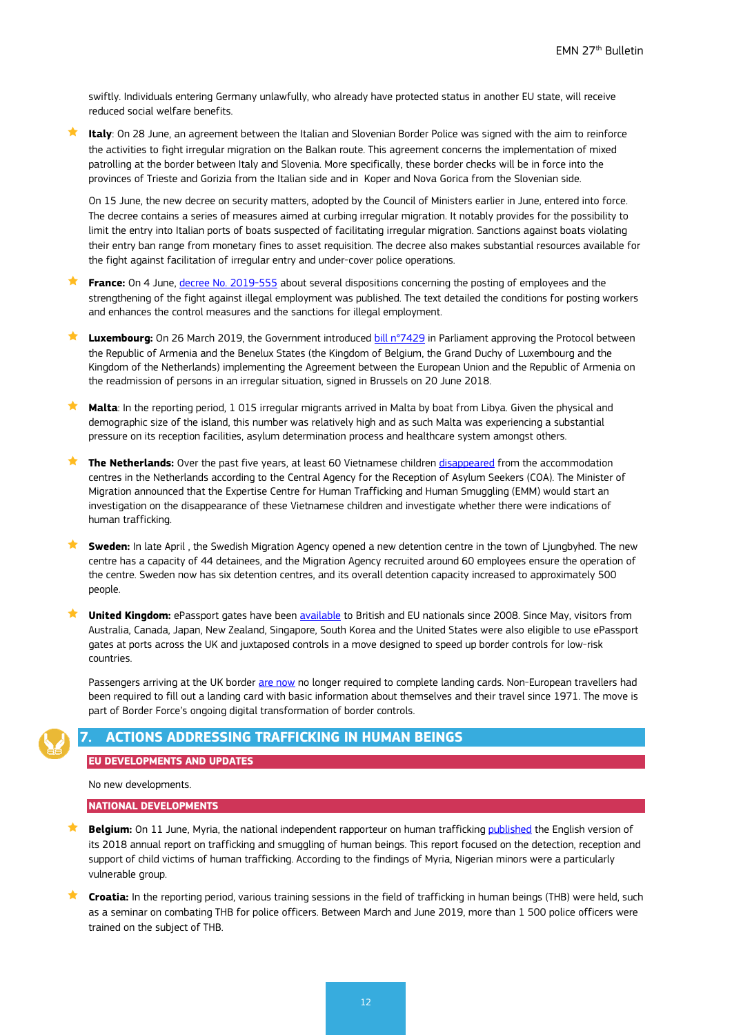swiftly. Individuals entering Germany unlawfully, who already have protected status in another EU state, will receive reduced social welfare benefits.

 **Italy**: On 28 June, an agreement between the Italian and Slovenian Border Police was signed with the aim to reinforce the activities to fight irregular migration on the Balkan route. This agreement concerns the implementation of mixed patrolling at the border between Italy and Slovenia. More specifically, these border checks will be in force into the provinces of Trieste and Gorizia from the Italian side and in Koper and Nova Gorica from the Slovenian side.

On 15 June, the new decree on security matters, adopted by the Council of Ministers earlier in June, entered into force. The decree contains a series of measures aimed at curbing irregular migration. It notably provides for the possibility to limit the entry into Italian ports of boats suspected of facilitating irregular migration. Sanctions against boats violating their entry ban range from monetary fines to asset requisition. The decree also makes substantial resources available for the fight against facilitation of irregular entry and under-cover police operations.

**France:** On 4 June, [decree No. 2019-555](https://www.legifrance.gouv.fr/affichTexte.do?cidTexte=JORFTEXT000038550042&categorieLien=id) about several dispositions concerning the posting of employees and the strengthening of the fight against illegal employment was published. The text detailed the conditions for posting workers and enhances the control measures and the sanctions for illegal employment.

 **Luxembourg:** On 26 March 2019, the Government introduce[d bill n°7429](https://www.chd.lu/wps/portal/public/Accueil/TravailALaChambre/Recherche/RechercheArchives/!ut/p/z1/nZC7DoJAEEW_hS_YYXiXvDK7QEDABdzGUBESRQvj92uIhTQrcbqbnHMzuUyxgallfM7T-Jhvy3h555Nyz-hzHpbpEakqUghl4ucZHEziDutXIMGka4SN4McBgqC6yGPTAWotpvb4sLkQogYjC4Aq_Mf_btrnawClr--ZWhHdAluAvNoGzNLMk21pUeB-AN0Gv764X6WUA8xiMowX6GTAgg!!/dz/d5/L0lDU0lKSWdrbUEhIS9JRFJBQUlpQ2dBek15cXchLzRKQ2lqb01MdEJqZFJQWVZERUEhL1o3XzI4SEhBTkVUMkdPTEUwQVVEOEtKMFAxOFU3LzA!/?PC_Z7_28HHANET2GOLE0AUD8KJ0P18U7019404_action=document&PC_Z7_28HHANET2GOLE0AUD8KJ0P18U7019404_secondList=&PC_Z7_28HHANET2GOLE0AUD8KJ0P18U7019404_selectedDocNum=0#Z7_28HHANET2GOLE0AUD8KJ0P18U7) in Parliament approving the Protocol between the Republic of Armenia and the Benelux States (the Kingdom of Belgium, the Grand Duchy of Luxembourg and the Kingdom of the Netherlands) implementing the Agreement between the European Union and the Republic of Armenia on the readmission of persons in an irregular situation, signed in Brussels on 20 June 2018.

 **Malta**: In the reporting period, 1 015 irregular migrants arrived in Malta by boat from Libya. Given the physical and demographic size of the island, this number was relatively high and as such Malta was experiencing a substantial pressure on its reception facilities, asylum determination process and healthcare system amongst others.

 **The Netherlands:** Over the past five years, at least 60 Vietnamese children [disappeared](https://www.rijksoverheid.nl/documenten/kamerstukken/2019/04/24/tk-onderzoek-naar-het-vertrek-van-amv-s-uit-opvanglocaties-en-de-mogelijke-uitbuiting-van-vietnamezen) from the accommodation centres in the Netherlands according to the Central Agency for the Reception of Asylum Seekers (COA). The Minister of Migration announced that the Expertise Centre for Human Trafficking and Human Smuggling (EMM) would start an investigation on the disappearance of these Vietnamese children and investigate whether there were indications of human trafficking.

 **Sweden:** In late April , the Swedish Migration Agency opened a new detention centre in the town of Ljungbyhed. The new centre has a capacity of 44 detainees, and the Migration Agency recruited around 60 employees ensure the operation of the centre. Sweden now has six detention centres, and its overall detention capacity increased to approximately 500 people.

**★ United Kingdom:** ePassport gates have been [available](https://www.gov.uk/government/news/government-expands-use-of-epassport-gates-to-7-more-countries) to British and EU nationals since 2008. Since May, visitors from Australia, Canada, Japan, New Zealand, Singapore, South Korea and the United States were also eligible to use ePassport gates at ports across the UK and juxtaposed controls in a move designed to speed up border controls for low-risk countries.

Passengers arriving at the UK border [are now](https://www.gov.uk/government/news/outdated-landing-cards-to-be-withdrawn-as-part-of-digital-border-transformation) no longer required to complete landing cards. Non-European travellers had been required to fill out a landing card with basic information about themselves and their travel since 1971. The move is part of Border Force's ongoing digital transformation of border controls.

# <span id="page-11-0"></span>**7. ACTIONS ADDRESSING TRAFFICKING IN HUMAN BEINGS**

#### **EU DEVELOPMENTS AND UPDATES**

No new developments.

#### **NATIONAL DEVELOPMENTS**

**Belgium:** On 11 June, Myria, the national independent rapporteur on human trafficking [published](https://www.myria.be/en/publications/annual-report-trafficking-and-smuggling-of-human-beings) the English version of its 2018 annual report on trafficking and smuggling of human beings. This report focused on the detection, reception and support of child victims of human trafficking. According to the findings of Myria, Nigerian minors were a particularly vulnerable group.

 **Croatia:** In the reporting period, various training sessions in the field of trafficking in human beings (THB) were held, such as a seminar on combating THB for police officers. Between March and June 2019, more than 1 500 police officers were trained on the subject of THB.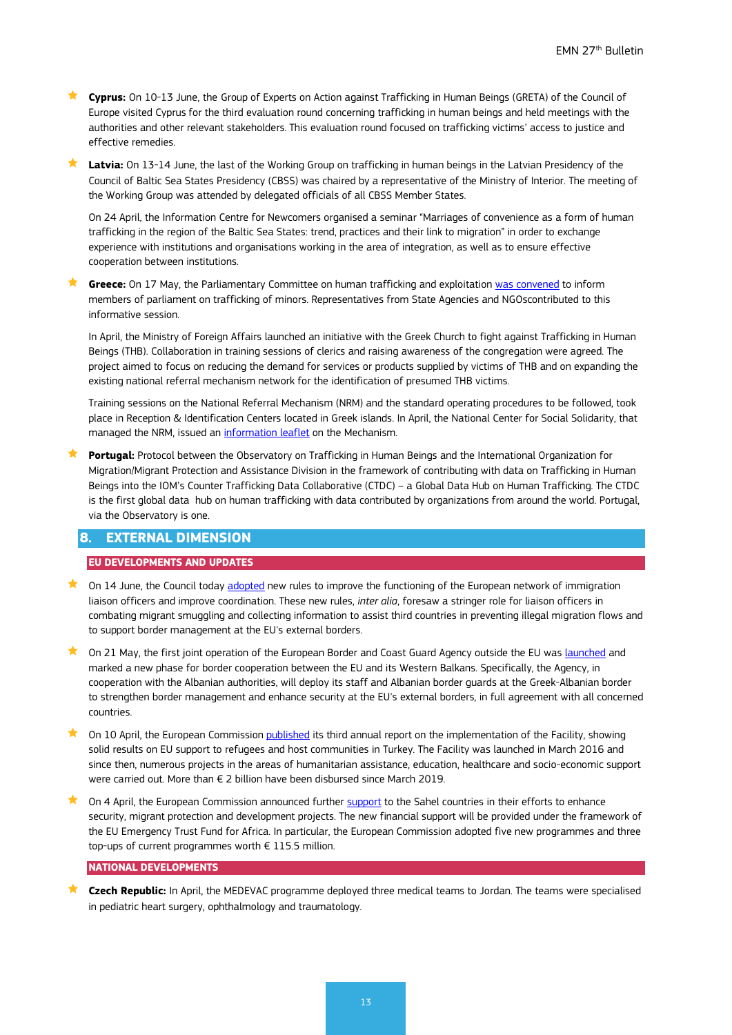**Cyprus:** On 10-13 June, the Group of Experts on Action against Trafficking in Human Beings (GRETA) of the Council of Europe visited Cyprus for the third evaluation round concerning trafficking in human beings and held meetings with the authorities and other relevant stakeholders. This evaluation round focused on trafficking victims' access to justice and effective remedies.

 **Latvia:** On 13-14 June, the last of the Working Group on trafficking in human beings in the Latvian Presidency of the Council of Baltic Sea States Presidency (CBSS) was chaired by a representative of the Ministry of Interior. The meeting of the Working Group was attended by delegated officials of all CBSS Member States.

On 24 April, the Information Centre for Newcomers organised a seminar "Marriages of convenience as a form of human trafficking in the region of the Baltic Sea States: trend, practices and their link to migration" in order to exchange experience with institutions and organisations working in the area of integration, as well as to ensure effective cooperation between institutions.

 **Greece:** On 17 May, the Parliamentary Committee on human trafficking and exploitation [was convened](https://www.hellenicparliament.gr/Vouli-ton-Ellinon/ToKtirio/Fotografiko-Archeio/?fbclid=IwAR2aahrJu6dZIf-GnwkIvvMMF-wbdcNkt18dCRhYeVFpxlCtDmGCcXpU2KE#780f11a8-5715-471f-b3fa-aa50010c69ad) to inform members of parliament on trafficking of minors. Representatives from State Agencies and NGOscontributed to this informative session.

In April, the Ministry of Foreign Affairs launched an initiative with the Greek Church to fight against Trafficking in Human Beings (THB). Collaboration in training sessions of clerics and raising awareness of the congregation were agreed. The project aimed to focus on reducing the demand for services or products supplied by victims of THB and on expanding the existing national referral mechanism network for the identification of presumed THB victims.

Training sessions on the National Referral Mechanism (NRM) and the standard operating procedures to be followed, took place in Reception & Identification Centers located in Greek islands. In April, the National Center for Social Solidarity, that managed the NRM, issued an [information leaflet](https://m.facebook.com/EKKA.org/photos/pcb.1105739919620995/1105737686287885/?type=3&source=49) on the Mechanism.

**Portugal:** Protocol between the Observatory on Trafficking in Human Beings and the International Organization for Migration/Migrant Protection and Assistance Division in the framework of contributing with data on Trafficking in Human Beings into the IOM's Counter Trafficking Data Collaborative (CTDC) – a Global Data Hub on Human Trafficking. The CTDC is the first global data hub on human trafficking with data contributed by organizations from around the world. Portugal, via the Observatory is one.

# <span id="page-12-0"></span>**8. EXTERNAL DIMENSION**

#### **EU DEVELOPMENTS AND UPDATES**

- $\bigstar$  On 14 June, the Council today [adopted](https://www.consilium.europa.eu/en/press/press-releases/2019/06/14/immigration-liaison-officers-council-adopts-new-rules-to-improve-coordination/) new rules to improve the functioning of the European network of immigration liaison officers and improve coordination. These new rules, *inter alia*, foresaw a stringer role for liaison officers in combating migrant smuggling and collecting information to assist third countries in preventing illegal migration flows and to support border management at the EU's external borders.
- On 21 May, the first joint operation of the European Border and Coast Guard Agency outside the EU wa[s launched](http://europa.eu/rapid/press-release_IP-19-2591_en.htm) and marked a new phase for border cooperation between the EU and its Western Balkans. Specifically, the Agency, in cooperation with the Albanian authorities, will deploy its staff and Albanian border guards at the Greek-Albanian border to strengthen border management and enhance security at the EU's external borders, in full agreement with all concerned countries.
- $\star$  On 10 April, the European Commissio[n published](http://www.europeanmigrationlaw.eu/documents/COM(2019)174_FacilityForRefugees-Turkey-3rdAnnualReport.pdf) its third annual report on the implementation of the Facility, showing solid results on EU support to refugees and host communities in Turkey. The Facility was launched in March 2016 and since then, numerous projects in the areas of humanitarian assistance, education, healthcare and socio-economic support were carried out. More than € 2 billion have been disbursed since March 2019.
- $\bigstar$  On 4 April, the European Commission announced further [support](https://ec.europa.eu/europeaid/news-and-events/eu-trust-fund-africa-eu1155-million-enhance-security-migrant-protection-and-job_en) to the Sahel countries in their efforts to enhance security, migrant protection and development projects. The new financial support will be provided under the framework of the EU Emergency Trust Fund for Africa. In particular, the European Commission adopted five new programmes and three top-ups of current programmes worth  $\epsilon$  115.5 million.

### **NATIONAL DEVELOPMENTS**

**★ Czech Republic:** In April, the MEDEVAC programme deployed three medical teams to Jordan. The teams were specialised in pediatric heart surgery, ophthalmology and traumatology.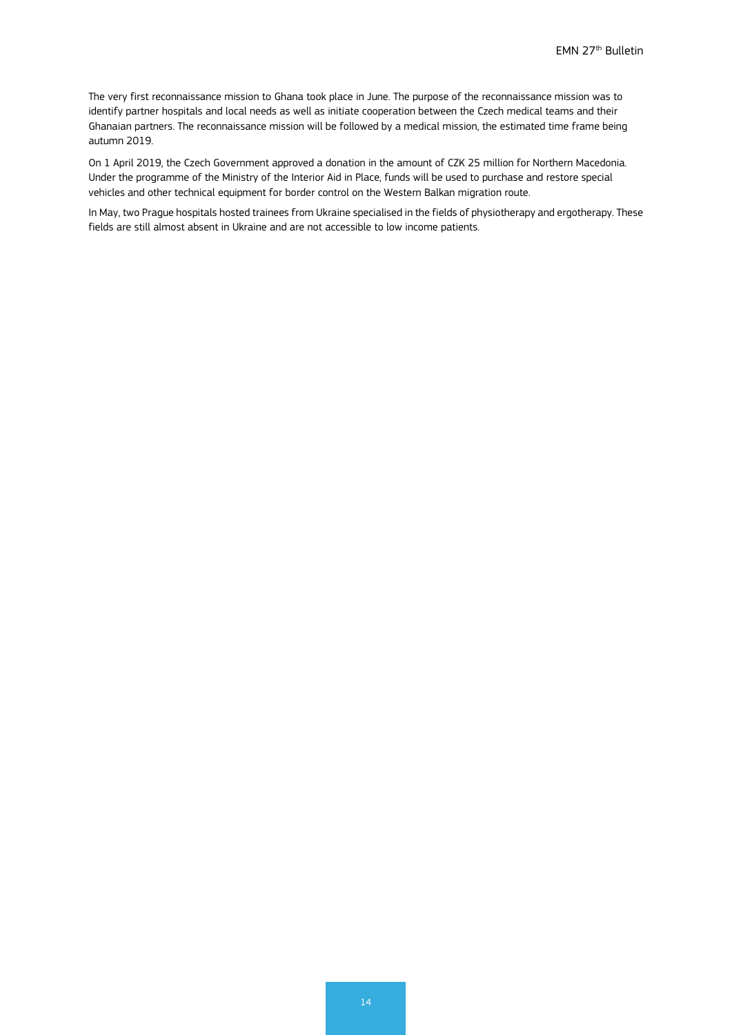The very first reconnaissance mission to Ghana took place in June. The purpose of the reconnaissance mission was to identify partner hospitals and local needs as well as initiate cooperation between the Czech medical teams and their Ghanaian partners. The reconnaissance mission will be followed by a medical mission, the estimated time frame being autumn 2019.

On 1 April 2019, the Czech Government approved a donation in the amount of CZK 25 million for Northern Macedonia. Under the programme of the Ministry of the Interior Aid in Place, funds will be used to purchase and restore special vehicles and other technical equipment for border control on the Western Balkan migration route.

<span id="page-13-0"></span>In May, two Prague hospitals hosted trainees from Ukraine specialised in the fields of physiotherapy and ergotherapy. These fields are still almost absent in Ukraine and are not accessible to low income patients.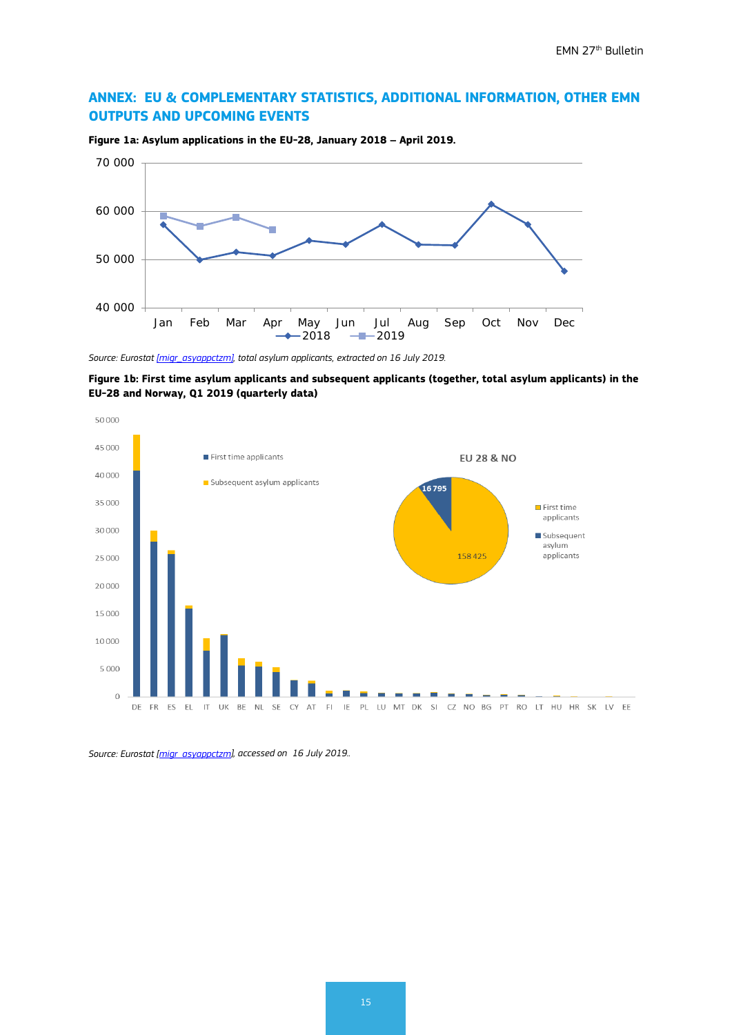# **ANNEX: EU & COMPLEMENTARY STATISTICS, ADDITIONAL INFORMATION, OTHER EMN OUTPUTS AND UPCOMING EVENTS**



**Figure 1a: Asylum applications in the EU-28, January 2018 – April 2019.**

*Source: Eurosta[t \[migr\\_asyappctzm\],](http://appsso.eurostat.ec.europa.eu/nui/show.do?dataset=migr_asyappctzm&lang=en) total asylum applicants, extracted on 16 July 2019.*

**Figure 1b: First time asylum applicants and subsequent applicants (together, total asylum applicants) in the EU-28 and Norway, Q1 2019 (quarterly data)**



*Source: Eurostat [\[migr\\_asyappctzm\],](http://appsso.eurostat.ec.europa.eu/nui/show.do?dataset=migr_asyappctzm&lang=en) accessed on 16 July 2019..*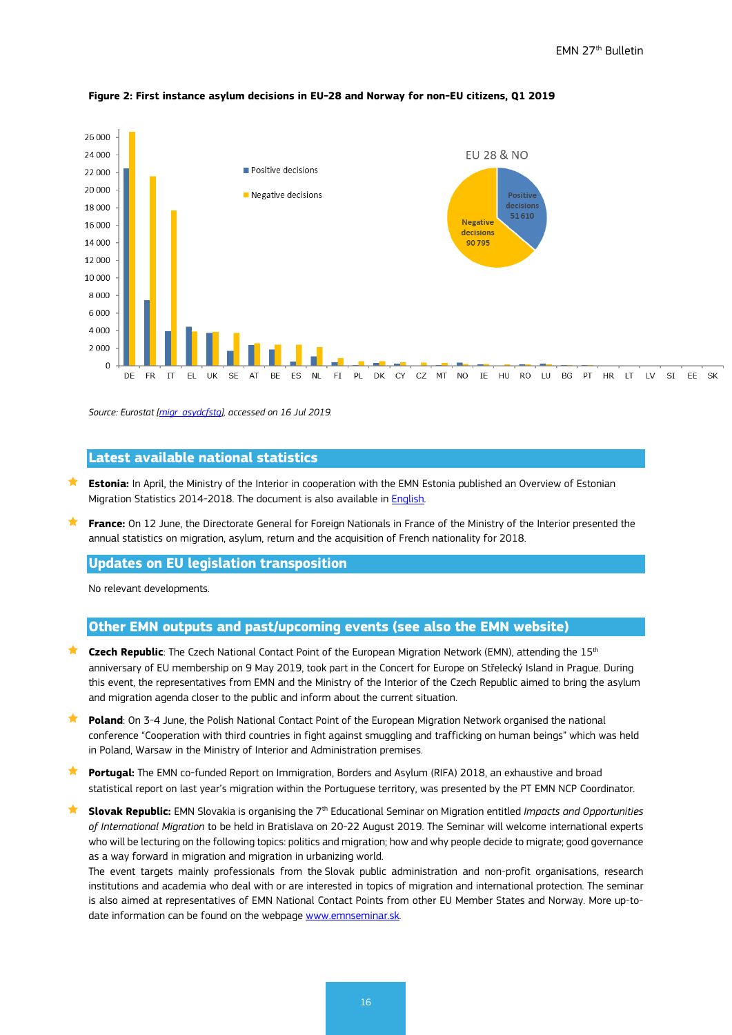

#### **Figure 2: First instance asylum decisions in EU-28 and Norway for non-EU citizens, Q1 2019**

*Source: Eurostat [\[migr\\_asydcfstq\]](http://appsso.eurostat.ec.europa.eu/nui/submitViewTableAction.do), accessed on 16 Jul 2019.*

# **Latest available national statistics**

- **Estonia:** In April, the Ministry of the Interior in cooperation with the EMN Estonia published an Overview of Estonian Migration Statistics 2014-2018. The document is also available in **English**.
- **France:** On 12 June, the Directorate General for Foreign Nationals in France of the Ministry of the Interior presented the annual statistics on migration, asylum, return and the acquisition of French nationality for 2018.

# **Updates on EU legislation transposition**

No relevant developments.

#### **Other EMN outputs and past/upcoming events (see also the EMN website)**

- **Czech Republic**: The Czech National Contact Point of the European Migration Network (EMN), attending the 15th anniversary of EU membership on 9 May 2019, took part in the Concert for Europe on Střelecký Island in Prague. During this event, the representatives from EMN and the Ministry of the Interior of the Czech Republic aimed to bring the asylum and migration agenda closer to the public and inform about the current situation.
- **Poland**: On 3-4 June, the Polish National Contact Point of the European Migration Network organised the national conference "Cooperation with third countries in fight against smuggling and trafficking on human beings" which was held in Poland, Warsaw in the Ministry of Interior and Administration premises.
- **Portugal:** The EMN co-funded Report on Immigration, Borders and Asylum (RIFA) 2018, an exhaustive and broad statistical report on last year's migration within the Portuguese territory, was presented by the PT EMN NCP Coordinator.
- **Slovak Republic:** EMN Slovakia is organising the 7th Educational Seminar on Migration entitled *Impacts and Opportunities of International Migration* to be held in Bratislava on 20-22 August 2019. The Seminar will welcome international experts who will be lecturing on the following topics: politics and migration; how and why people decide to migrate; good governance as a way forward in migration and migration in urbanizing world.

The event targets mainly professionals from the Slovak public administration and non-profit organisations, research institutions and academia who deal with or are interested in topics of migration and international protection. The seminar is also aimed at representatives of EMN National Contact Points from other EU Member States and Norway. More up-todate information can be found on the webpage [www.emnseminar.sk.](http://www.emnseminar.sk/)